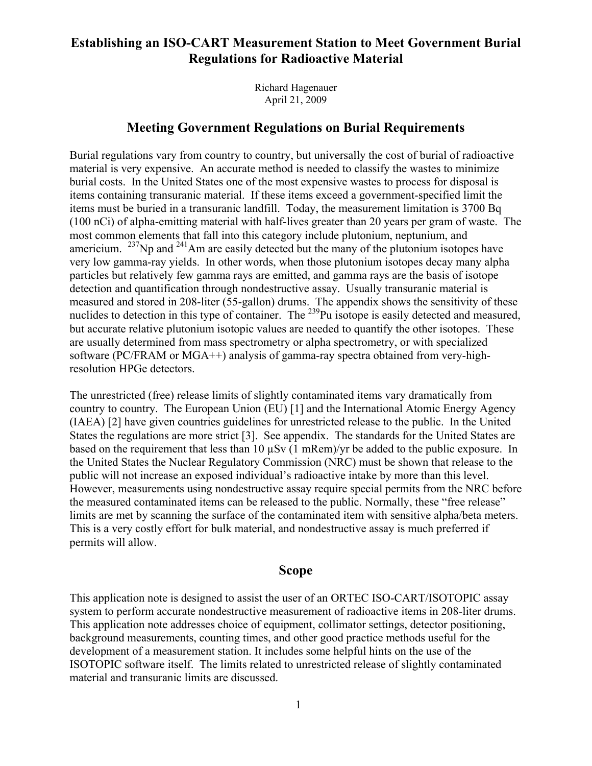## **Establishing an ISO-CART Measurement Station to Meet Government Burial Regulations for Radioactive Material**

Richard Hagenauer April 21, 2009

### **Meeting Government Regulations on Burial Requirements**

Burial regulations vary from country to country, but universally the cost of burial of radioactive material is very expensive. An accurate method is needed to classify the wastes to minimize burial costs. In the United States one of the most expensive wastes to process for disposal is items containing transuranic material. If these items exceed a government-specified limit the items must be buried in a transuranic landfill. Today, the measurement limitation is 3700 Bq (100 nCi) of alpha-emitting material with half-lives greater than 20 years per gram of waste. The most common elements that fall into this category include plutonium, neptunium, and americium.  $^{237}$ Np and  $^{241}$ Am are easily detected but the many of the plutonium isotopes have very low gamma-ray yields. In other words, when those plutonium isotopes decay many alpha particles but relatively few gamma rays are emitted, and gamma rays are the basis of isotope detection and quantification through nondestructive assay. Usually transuranic material is measured and stored in 208-liter (55-gallon) drums. The appendix shows the sensitivity of these nuclides to detection in this type of container. The <sup>239</sup>Pu isotope is easily detected and measured, but accurate relative plutonium isotopic values are needed to quantify the other isotopes. These are usually determined from mass spectrometry or alpha spectrometry, or with specialized software (PC/FRAM or MGA++) analysis of gamma-ray spectra obtained from very-highresolution HPGe detectors.

The unrestricted (free) release limits of slightly contaminated items vary dramatically from country to country. The European Union (EU) [1] and the International Atomic Energy Agency (IAEA) [2] have given countries guidelines for unrestricted release to the public. In the United States the regulations are more strict [3]. See appendix. The standards for the United States are based on the requirement that less than 10 µSv (1 mRem)/yr be added to the public exposure. In the United States the Nuclear Regulatory Commission (NRC) must be shown that release to the public will not increase an exposed individual's radioactive intake by more than this level. However, measurements using nondestructive assay require special permits from the NRC before the measured contaminated items can be released to the public. Normally, these "free release" limits are met by scanning the surface of the contaminated item with sensitive alpha/beta meters. This is a very costly effort for bulk material, and nondestructive assay is much preferred if permits will allow.

## **Scope**

This application note is designed to assist the user of an ORTEC ISO-CART/ISOTOPIC assay system to perform accurate nondestructive measurement of radioactive items in 208-liter drums. This application note addresses choice of equipment, collimator settings, detector positioning, background measurements, counting times, and other good practice methods useful for the development of a measurement station. It includes some helpful hints on the use of the ISOTOPIC software itself. The limits related to unrestricted release of slightly contaminated material and transuranic limits are discussed.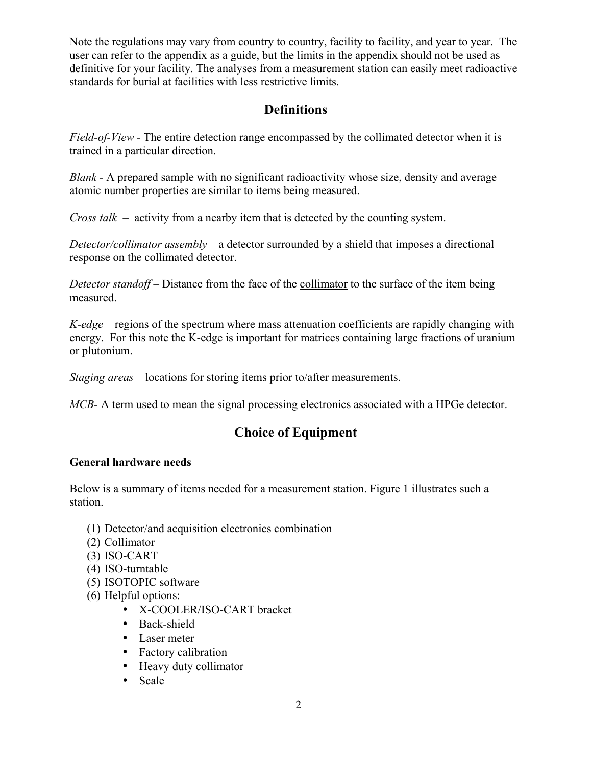Note the regulations may vary from country to country, facility to facility, and year to year. The user can refer to the appendix as a guide, but the limits in the appendix should not be used as definitive for your facility. The analyses from a measurement station can easily meet radioactive standards for burial at facilities with less restrictive limits.

## **Definitions**

*Field-of-View* - The entire detection range encompassed by the collimated detector when it is trained in a particular direction.

*Blank* - A prepared sample with no significant radioactivity whose size, density and average atomic number properties are similar to items being measured.

*Cross talk* – activity from a nearby item that is detected by the counting system.

*Detector/collimator assembly* – a detector surrounded by a shield that imposes a directional response on the collimated detector.

*Detector standoff* – Distance from the face of the collimator to the surface of the item being measured.

*K-edge* – regions of the spectrum where mass attenuation coefficients are rapidly changing with energy. For this note the K-edge is important for matrices containing large fractions of uranium or plutonium.

*Staging areas* – locations for storing items prior to/after measurements.

*MCB*- A term used to mean the signal processing electronics associated with a HPGe detector.

## **Choice of Equipment**

## **General hardware needs**

Below is a summary of items needed for a measurement station. Figure 1 illustrates such a station.

- (1) Detector/and acquisition electronics combination
- (2) Collimator
- (3) ISO-CART
- (4) ISO-turntable
- (5) ISOTOPIC software
- (6) Helpful options:
	- X-COOLER/ISO-CART bracket
	- Back-shield
	- Laser meter
	- Factory calibration
	- Heavy duty collimator
	- Scale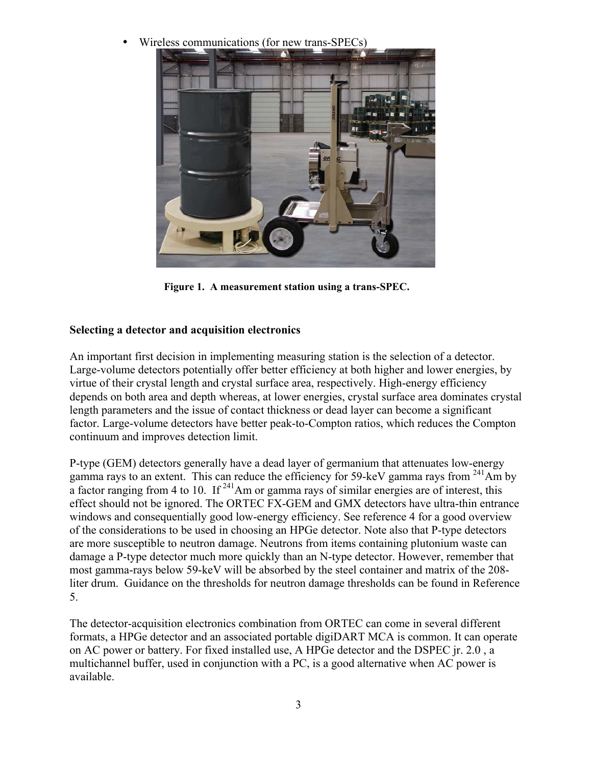• Wireless communications (for new trans-SPECs)



**Figure 1. A measurement station using a trans-SPEC.** 

## **Selecting a detector and acquisition electronics**

An important first decision in implementing measuring station is the selection of a detector. Large-volume detectors potentially offer better efficiency at both higher and lower energies, by virtue of their crystal length and crystal surface area, respectively. High-energy efficiency depends on both area and depth whereas, at lower energies, crystal surface area dominates crystal length parameters and the issue of contact thickness or dead layer can become a significant factor. Large-volume detectors have better peak-to-Compton ratios, which reduces the Compton continuum and improves detection limit.

P-type (GEM) detectors generally have a dead layer of germanium that attenuates low-energy gamma rays to an extent. This can reduce the efficiency for 59-keV gamma rays from  $^{241}$ Am by a factor ranging from 4 to 10. If  $^{241}$ Am or gamma rays of similar energies are of interest, this effect should not be ignored. The ORTEC FX-GEM and GMX detectors have ultra-thin entrance windows and consequentially good low-energy efficiency. See reference 4 for a good overview of the considerations to be used in choosing an HPGe detector. Note also that P-type detectors are more susceptible to neutron damage. Neutrons from items containing plutonium waste can damage a P-type detector much more quickly than an N-type detector. However, remember that most gamma-rays below 59-keV will be absorbed by the steel container and matrix of the 208 liter drum. Guidance on the thresholds for neutron damage thresholds can be found in Reference 5.

The detector-acquisition electronics combination from ORTEC can come in several different formats, a HPGe detector and an associated portable digiDART MCA is common. It can operate on AC power or battery. For fixed installed use, A HPGe detector and the DSPEC jr. 2.0 , a multichannel buffer, used in conjunction with a PC, is a good alternative when AC power is available.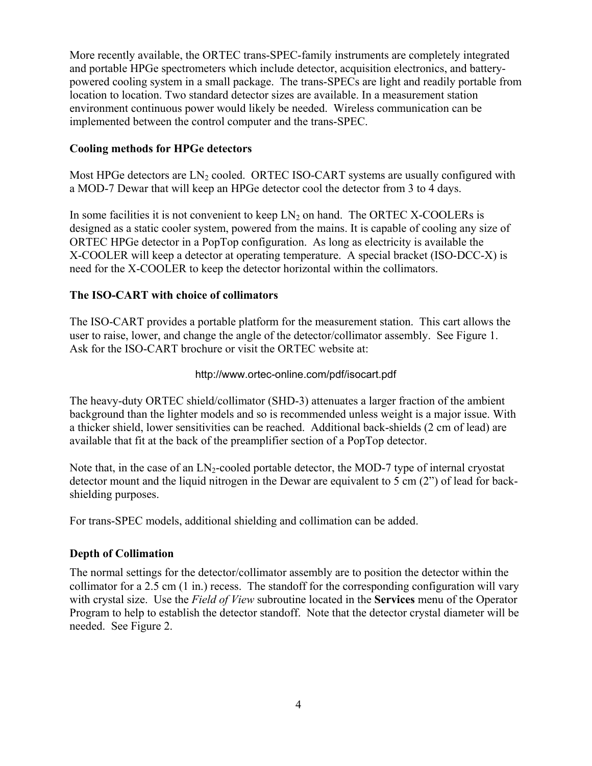More recently available, the ORTEC trans-SPEC-family instruments are completely integrated and portable HPGe spectrometers which include detector, acquisition electronics, and batterypowered cooling system in a small package. The trans-SPECs are light and readily portable from location to location. Two standard detector sizes are available. In a measurement station environment continuous power would likely be needed. Wireless communication can be implemented between the control computer and the trans-SPEC.

## **Cooling methods for HPGe detectors**

Most HPGe detectors are  $LN_2$  cooled. ORTEC ISO-CART systems are usually configured with a MOD-7 Dewar that will keep an HPGe detector cool the detector from 3 to 4 days.

In some facilities it is not convenient to keep  $LN_2$  on hand. The ORTEC X-COOLERs is designed as a static cooler system, powered from the mains. It is capable of cooling any size of ORTEC HPGe detector in a PopTop configuration. As long as electricity is available the X-COOLER will keep a detector at operating temperature. A special bracket (ISO-DCC-X) is need for the X-COOLER to keep the detector horizontal within the collimators.

## **The ISO-CART with choice of collimators**

The ISO-CART provides a portable platform for the measurement station. This cart allows the user to raise, lower, and change the angle of the detector/collimator assembly. See Figure 1. Ask for the ISO-CART brochure or visit the ORTEC website at:

## http://www.ortec-online.com/pdf/isocart.pdf

The heavy-duty ORTEC shield/collimator (SHD-3) attenuates a larger fraction of the ambient background than the lighter models and so is recommended unless weight is a major issue. With a thicker shield, lower sensitivities can be reached. Additional back-shields (2 cm of lead) are available that fit at the back of the preamplifier section of a PopTop detector.

Note that, in the case of an  $LN_2$ -cooled portable detector, the MOD-7 type of internal cryostat detector mount and the liquid nitrogen in the Dewar are equivalent to 5 cm (2") of lead for backshielding purposes.

For trans-SPEC models, additional shielding and collimation can be added.

## **Depth of Collimation**

The normal settings for the detector/collimator assembly are to position the detector within the collimator for a 2.5 cm (1 in.) recess. The standoff for the corresponding configuration will vary with crystal size. Use the *Field of View* subroutine located in the **Services** menu of the Operator Program to help to establish the detector standoff. Note that the detector crystal diameter will be needed. See Figure 2.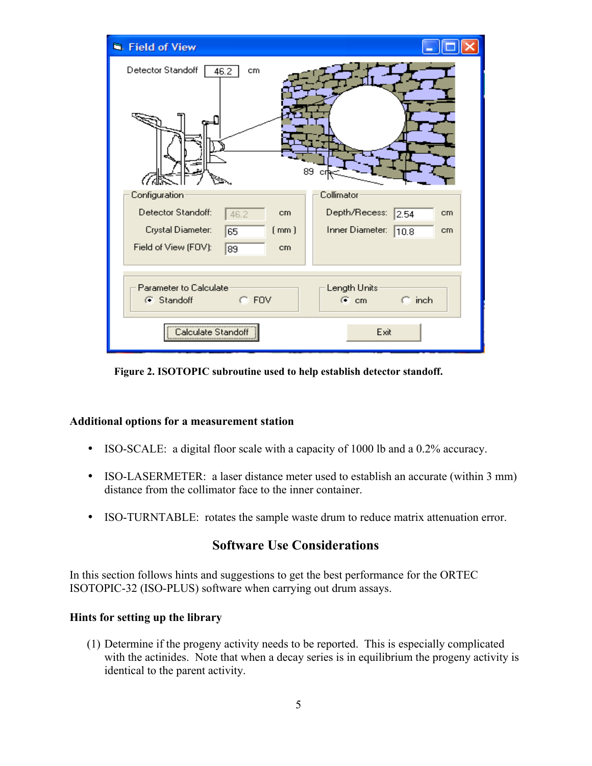| <b>R</b> . Field of View                        |                                                   |
|-------------------------------------------------|---------------------------------------------------|
| Detector Standoff<br>46.2<br>cm<br>er d         | 89<br>сı                                          |
| Configuration<br>Detector Standoff:<br>cm       | Collimator<br>Depth/Recess:<br>2.54<br>cm         |
| 46.2<br>Crystal Diameter:<br>(mm)<br>65         | Inner Diameter:<br>10.8<br>cm                     |
| Field of View (FOV):<br>89<br>cm                |                                                   |
| Parameter to Calculate<br>$C$ FOV<br>C Standoff | Length Units<br>$\subseteq$ cm<br>$\bigcirc$ inch |
| Calculate Standof                               | Exit                                              |

**Figure 2. ISOTOPIC subroutine used to help establish detector standoff.** 

#### **Additional options for a measurement station**

- ISO-SCALE: a digital floor scale with a capacity of 1000 lb and a 0.2% accuracy.
- ISO-LASERMETER: a laser distance meter used to establish an accurate (within 3 mm) distance from the collimator face to the inner container.
- ISO-TURNTABLE: rotates the sample waste drum to reduce matrix attenuation error.

## **Software Use Considerations**

In this section follows hints and suggestions to get the best performance for the ORTEC ISOTOPIC-32 (ISO-PLUS) software when carrying out drum assays.

### **Hints for setting up the library**

(1) Determine if the progeny activity needs to be reported. This is especially complicated with the actinides. Note that when a decay series is in equilibrium the progeny activity is identical to the parent activity.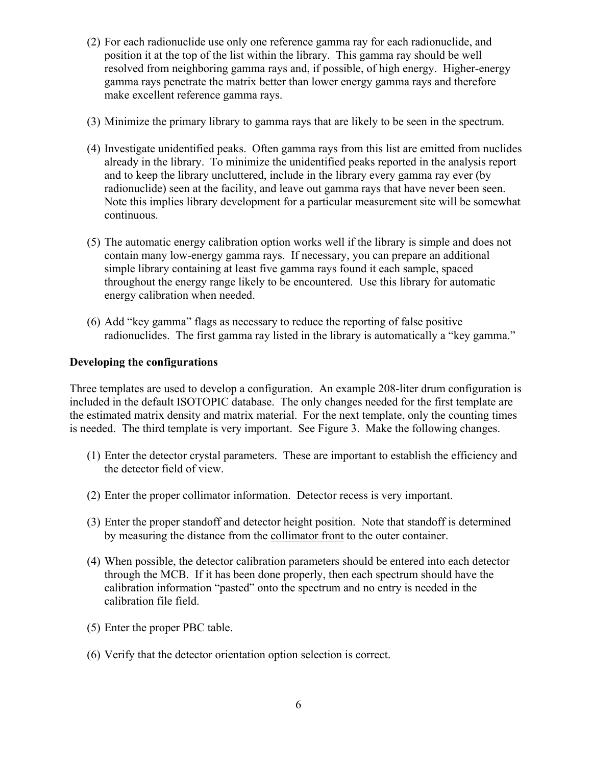- (2) For each radionuclide use only one reference gamma ray for each radionuclide, and position it at the top of the list within the library. This gamma ray should be well resolved from neighboring gamma rays and, if possible, of high energy. Higher-energy gamma rays penetrate the matrix better than lower energy gamma rays and therefore make excellent reference gamma rays.
- (3) Minimize the primary library to gamma rays that are likely to be seen in the spectrum.
- (4) Investigate unidentified peaks. Often gamma rays from this list are emitted from nuclides already in the library. To minimize the unidentified peaks reported in the analysis report and to keep the library uncluttered, include in the library every gamma ray ever (by radionuclide) seen at the facility, and leave out gamma rays that have never been seen. Note this implies library development for a particular measurement site will be somewhat continuous.
- (5) The automatic energy calibration option works well if the library is simple and does not contain many low-energy gamma rays. If necessary, you can prepare an additional simple library containing at least five gamma rays found it each sample, spaced throughout the energy range likely to be encountered. Use this library for automatic energy calibration when needed.
- (6) Add "key gamma" flags as necessary to reduce the reporting of false positive radionuclides. The first gamma ray listed in the library is automatically a "key gamma."

### **Developing the configurations**

Three templates are used to develop a configuration. An example 208-liter drum configuration is included in the default ISOTOPIC database. The only changes needed for the first template are the estimated matrix density and matrix material. For the next template, only the counting times is needed. The third template is very important. See Figure 3. Make the following changes.

- (1) Enter the detector crystal parameters. These are important to establish the efficiency and the detector field of view.
- (2) Enter the proper collimator information. Detector recess is very important.
- (3) Enter the proper standoff and detector height position. Note that standoff is determined by measuring the distance from the collimator front to the outer container.
- (4) When possible, the detector calibration parameters should be entered into each detector through the MCB. If it has been done properly, then each spectrum should have the calibration information "pasted" onto the spectrum and no entry is needed in the calibration file field.
- (5) Enter the proper PBC table.
- (6) Verify that the detector orientation option selection is correct.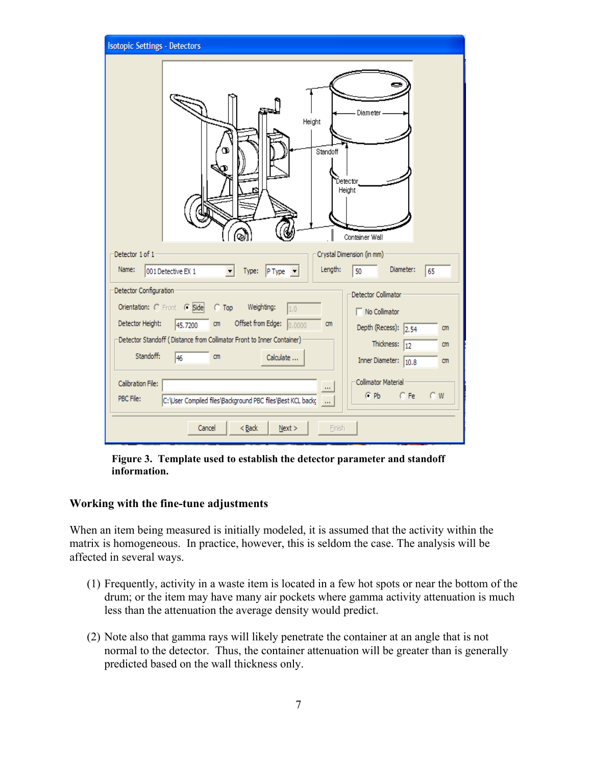| <b>Isotopic Settings - Detectors</b>                                                                                                                                                                                                                                                                                                                                                                                                                                          |  |
|-------------------------------------------------------------------------------------------------------------------------------------------------------------------------------------------------------------------------------------------------------------------------------------------------------------------------------------------------------------------------------------------------------------------------------------------------------------------------------|--|
| Diameter<br>Height<br>Standoff<br>Detector<br>Height<br>Container Wall                                                                                                                                                                                                                                                                                                                                                                                                        |  |
| Detector 1 of 1<br>Crystal Dimension (in mm)<br>Length:<br>Diameter:<br>Name:<br>001 Detective EX 1<br>$PType \nightharpoonup$<br>50<br>65<br>Type:                                                                                                                                                                                                                                                                                                                           |  |
| Detector Configuration<br>Detector Collimator<br>Orientation: C Front C Side C Top<br>Weighting:<br>1.0<br>No Collimator<br>Offset from Edge: 0.0000<br>Detector Height:<br>45.7200 cm<br>cm<br>Depth (Recess): $\sqrt{2.54}$<br>cm<br>Detector Standoff (Distance from Collimator Front to Inner Container)<br>Thickness: $\boxed{12}$<br>cm<br>Standoff:<br>46<br>cm<br>Calculate<br>Inner Diameter: 10.8<br>cm<br>Collimator Material<br>Calibration File:<br>$\mathbf{r}$ |  |
| $C$ Pb<br>$C$ Fe<br>$C$ W<br>PBC File:<br>C:\User Compiled files\Background PBC files\Best KCL backs<br>$<$ Back<br>Cancel<br>Next<br>Finish                                                                                                                                                                                                                                                                                                                                  |  |

**Figure 3. Template used to establish the detector parameter and standoff information.** 

#### **Working with the fine-tune adjustments**

When an item being measured is initially modeled, it is assumed that the activity within the matrix is homogeneous. In practice, however, this is seldom the case. The analysis will be affected in several ways.

- (1) Frequently, activity in a waste item is located in a few hot spots or near the bottom of the drum; or the item may have many air pockets where gamma activity attenuation is much less than the attenuation the average density would predict.
- (2) Note also that gamma rays will likely penetrate the container at an angle that is not normal to the detector. Thus, the container attenuation will be greater than is generally predicted based on the wall thickness only.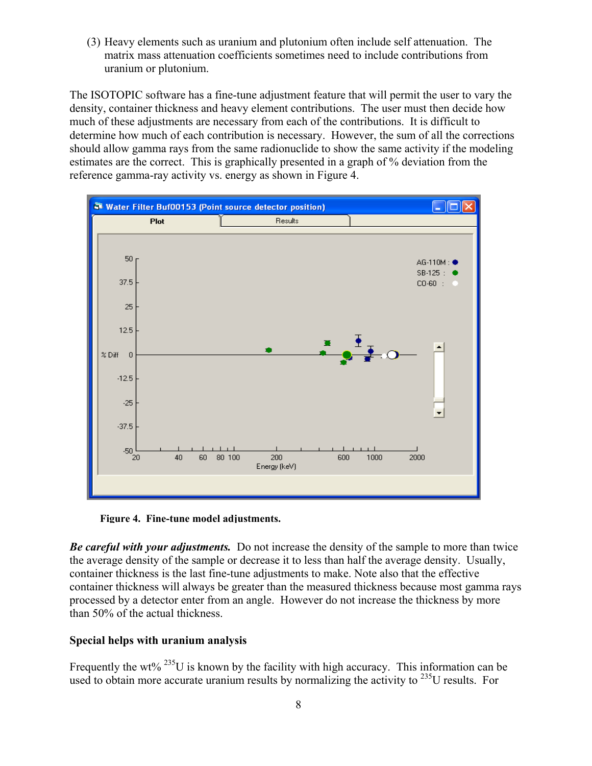(3) Heavy elements such as uranium and plutonium often include self attenuation. The matrix mass attenuation coefficients sometimes need to include contributions from uranium or plutonium.

The ISOTOPIC software has a fine-tune adjustment feature that will permit the user to vary the density, container thickness and heavy element contributions. The user must then decide how much of these adjustments are necessary from each of the contributions. It is difficult to determine how much of each contribution is necessary. However, the sum of all the corrections should allow gamma rays from the same radionuclide to show the same activity if the modeling estimates are the correct. This is graphically presented in a graph of % deviation from the reference gamma-ray activity vs. energy as shown in Figure 4.



**Figure 4. Fine-tune model adjustments.**

*Be careful with your adjustments.* Do not increase the density of the sample to more than twice the average density of the sample or decrease it to less than half the average density. Usually, container thickness is the last fine-tune adjustments to make. Note also that the effective container thickness will always be greater than the measured thickness because most gamma rays processed by a detector enter from an angle. However do not increase the thickness by more than 50% of the actual thickness.

### **Special helps with uranium analysis**

Frequently the wt%  $^{235}$ U is known by the facility with high accuracy. This information can be used to obtain more accurate uranium results by normalizing the activity to <sup>235</sup>U results. For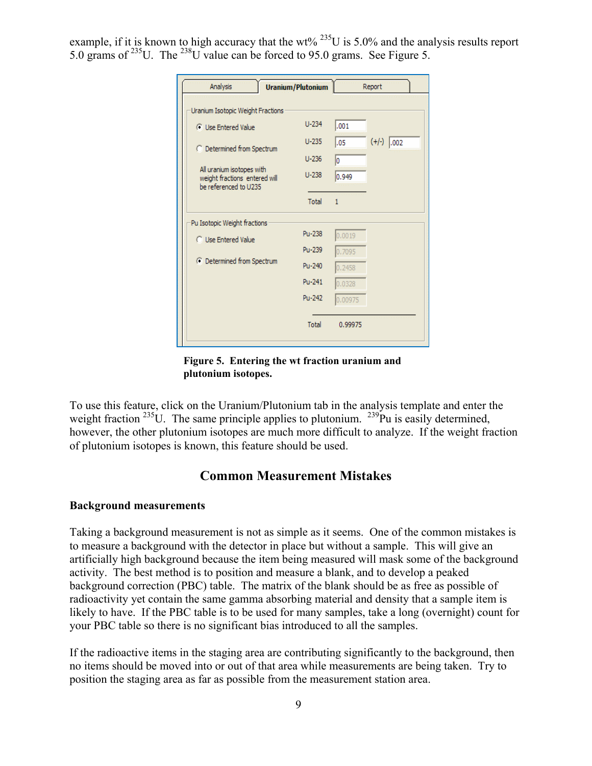example, if it is known to high accuracy that the wt%  $^{235}$ U is 5.0% and the analysis results report 5.0 grams of 235U. The 238U value can be forced to 95.0 grams. See Figure 5.

| <b>Analysis</b>                                                                     | <b>Uranium/Plutonium</b> |              | Report       |
|-------------------------------------------------------------------------------------|--------------------------|--------------|--------------|
| Uranium Isotopic Weight Fractions                                                   |                          |              |              |
| <b>C</b> Use Entered Value                                                          | $U-234$                  | ,001         |              |
| C Determined from Spectrum                                                          | $U - 235$                | .05          | $(+/-)$ .002 |
|                                                                                     | $U - 236$                | lо           |              |
| All uranium isotopes with<br>weight fractions entered will<br>be referenced to U235 | $U-238$                  | 0.949        |              |
|                                                                                     | Total                    | $\mathbf{1}$ |              |
| Pu Isotopic Weight fractions                                                        |                          |              |              |
| <b>C</b> Use Entered Value                                                          | Pu-238                   | 0.0019       |              |
|                                                                                     | Pu-239                   | 0.7095       |              |
| C Determined from Spectrum                                                          | Pu-240                   | 0.2458       |              |
|                                                                                     | Pu-241                   | 0.0328       |              |
|                                                                                     | Pu-242                   | 0.00975      |              |
|                                                                                     | Total                    | 0.99975      |              |
|                                                                                     |                          |              |              |

**Figure 5. Entering the wt fraction uranium and plutonium isotopes.** 

To use this feature, click on the Uranium/Plutonium tab in the analysis template and enter the weight fraction <sup>235</sup>U. The same principle applies to plutonium. <sup>239</sup>Pu is easily determined, however, the other plutonium isotopes are much more difficult to analyze. If the weight fraction of plutonium isotopes is known, this feature should be used.

## **Common Measurement Mistakes**

#### **Background measurements**

Taking a background measurement is not as simple as it seems. One of the common mistakes is to measure a background with the detector in place but without a sample. This will give an artificially high background because the item being measured will mask some of the background activity. The best method is to position and measure a blank, and to develop a peaked background correction (PBC) table. The matrix of the blank should be as free as possible of radioactivity yet contain the same gamma absorbing material and density that a sample item is likely to have. If the PBC table is to be used for many samples, take a long (overnight) count for your PBC table so there is no significant bias introduced to all the samples.

If the radioactive items in the staging area are contributing significantly to the background, then no items should be moved into or out of that area while measurements are being taken. Try to position the staging area as far as possible from the measurement station area.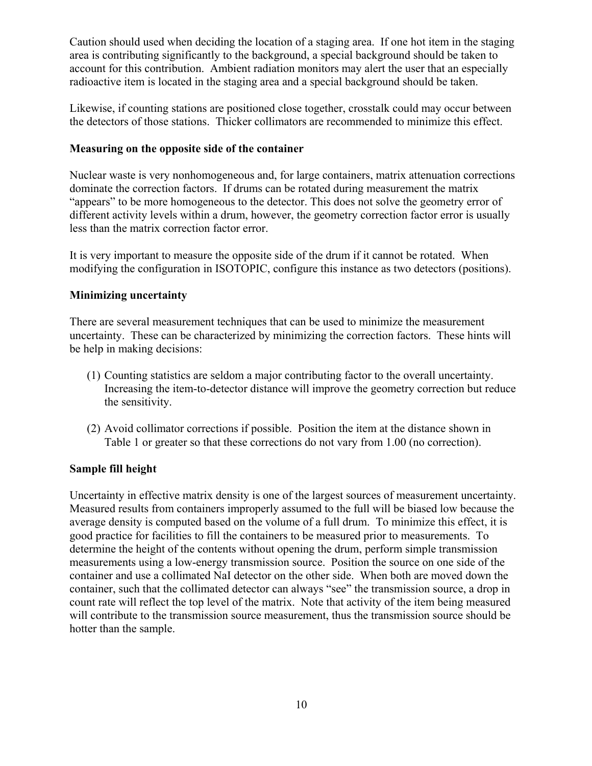Caution should used when deciding the location of a staging area. If one hot item in the staging area is contributing significantly to the background, a special background should be taken to account for this contribution. Ambient radiation monitors may alert the user that an especially radioactive item is located in the staging area and a special background should be taken.

Likewise, if counting stations are positioned close together, crosstalk could may occur between the detectors of those stations. Thicker collimators are recommended to minimize this effect.

#### **Measuring on the opposite side of the container**

Nuclear waste is very nonhomogeneous and, for large containers, matrix attenuation corrections dominate the correction factors. If drums can be rotated during measurement the matrix "appears" to be more homogeneous to the detector. This does not solve the geometry error of different activity levels within a drum, however, the geometry correction factor error is usually less than the matrix correction factor error.

It is very important to measure the opposite side of the drum if it cannot be rotated. When modifying the configuration in ISOTOPIC, configure this instance as two detectors (positions).

#### **Minimizing uncertainty**

There are several measurement techniques that can be used to minimize the measurement uncertainty. These can be characterized by minimizing the correction factors. These hints will be help in making decisions:

- (1) Counting statistics are seldom a major contributing factor to the overall uncertainty. Increasing the item-to-detector distance will improve the geometry correction but reduce the sensitivity.
- (2) Avoid collimator corrections if possible. Position the item at the distance shown in Table 1 or greater so that these corrections do not vary from 1.00 (no correction).

#### **Sample fill height**

Uncertainty in effective matrix density is one of the largest sources of measurement uncertainty. Measured results from containers improperly assumed to the full will be biased low because the average density is computed based on the volume of a full drum. To minimize this effect, it is good practice for facilities to fill the containers to be measured prior to measurements. To determine the height of the contents without opening the drum, perform simple transmission measurements using a low-energy transmission source. Position the source on one side of the container and use a collimated NaI detector on the other side. When both are moved down the container, such that the collimated detector can always "see" the transmission source, a drop in count rate will reflect the top level of the matrix. Note that activity of the item being measured will contribute to the transmission source measurement, thus the transmission source should be hotter than the sample.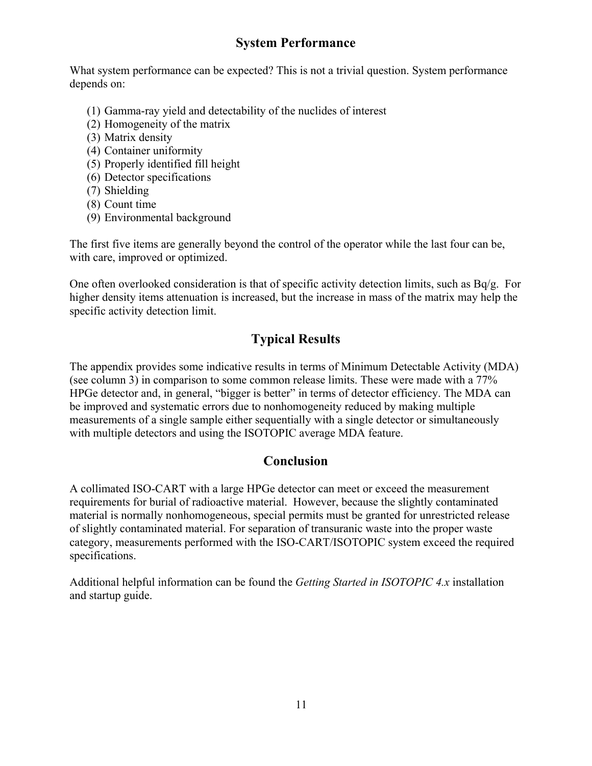## **System Performance**

What system performance can be expected? This is not a trivial question. System performance depends on:

- (1) Gamma-ray yield and detectability of the nuclides of interest
- (2) Homogeneity of the matrix
- (3) Matrix density
- (4) Container uniformity
- (5) Properly identified fill height
- (6) Detector specifications
- (7) Shielding
- (8) Count time
- (9) Environmental background

The first five items are generally beyond the control of the operator while the last four can be, with care, improved or optimized.

One often overlooked consideration is that of specific activity detection limits, such as Bq/g. For higher density items attenuation is increased, but the increase in mass of the matrix may help the specific activity detection limit.

## **Typical Results**

The appendix provides some indicative results in terms of Minimum Detectable Activity (MDA) (see column 3) in comparison to some common release limits. These were made with a 77% HPGe detector and, in general, "bigger is better" in terms of detector efficiency. The MDA can be improved and systematic errors due to nonhomogeneity reduced by making multiple measurements of a single sample either sequentially with a single detector or simultaneously with multiple detectors and using the ISOTOPIC average MDA feature.

## **Conclusion**

A collimated ISO-CART with a large HPGe detector can meet or exceed the measurement requirements for burial of radioactive material. However, because the slightly contaminated material is normally nonhomogeneous, special permits must be granted for unrestricted release of slightly contaminated material. For separation of transuranic waste into the proper waste category, measurements performed with the ISO-CART/ISOTOPIC system exceed the required specifications.

Additional helpful information can be found the *Getting Started in ISOTOPIC 4.x* installation and startup guide.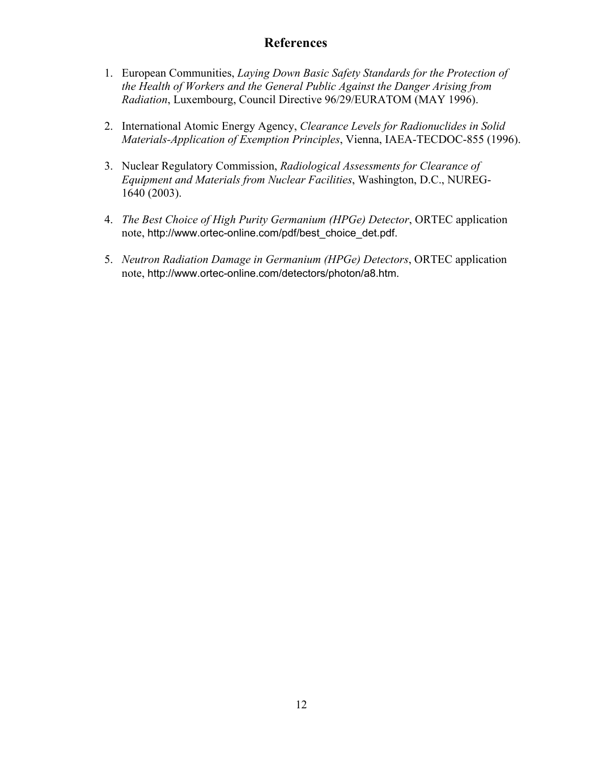## **References**

- 1. European Communities, *Laying Down Basic Safety Standards for the Protection of the Health of Workers and the General Public Against the Danger Arising from Radiation*, Luxembourg, Council Directive 96/29/EURATOM (MAY 1996).
- 2. International Atomic Energy Agency, *Clearance Levels for Radionuclides in Solid Materials-Application of Exemption Principles*, Vienna, IAEA-TECDOC-855 (1996).
- 3. Nuclear Regulatory Commission, *Radiological Assessments for Clearance of Equipment and Materials from Nuclear Facilities*, Washington, D.C., NUREG-1640 (2003).
- 4. *The Best Choice of High Purity Germanium (HPGe) Detector*, ORTEC application note, http://www.ortec-online.com/pdf/best\_choice\_det.pdf.
- 5. *Neutron Radiation Damage in Germanium (HPGe) Detectors*, ORTEC application note, http://www.ortec-online.com/detectors/photon/a8.htm.